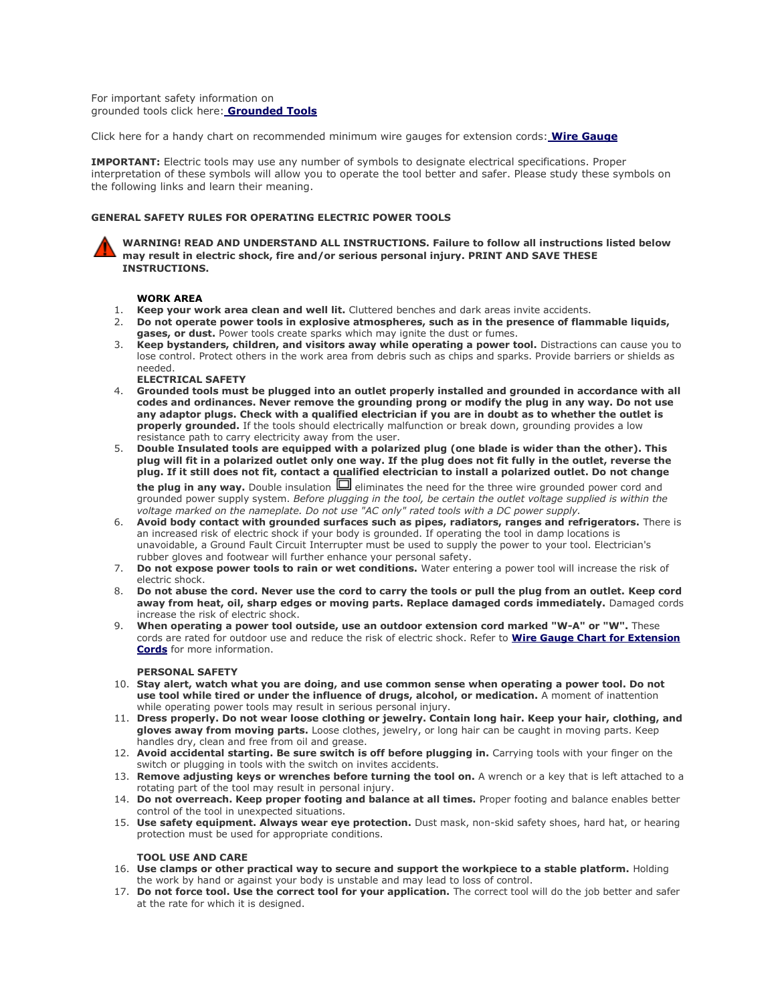<span id="page-0-0"></span>For important safety information on grounded tools click here: **[Grounded Tools](#page-1-0)**

Click here for a handy chart on recommended minimum wire gauges for extension cords: **[Wire Gauge](#page-2-0)**

**IMPORTANT:** Electric tools may use any number of symbols to designate electrical specifications. Proper interpretation of these symbols will allow you to operate the tool better and safer. Please study these symbols on the following links and learn their meaning.

#### **GENERAL SAFETY RULES FOR OPERATING ELECTRIC POWER TOOLS**

**WARNING! READ AND UNDERSTAND ALL INSTRUCTIONS. Failure to follow all instructions listed below may result in electric shock, fire and/or serious personal injury. PRINT AND SAVE THESE INSTRUCTIONS.**

#### **WORK AREA**

- 1. **Keep your work area clean and well lit.** Cluttered benches and dark areas invite accidents.
- 2. **Do not operate power tools in explosive atmospheres, such as in the presence of flammable liquids, gases, or dust.** Power tools create sparks which may ignite the dust or fumes.
- 3. **Keep bystanders, children, and visitors away while operating a power tool.** Distractions can cause you to lose control. Protect others in the work area from debris such as chips and sparks. Provide barriers or shields as needed.
- **ELECTRICAL SAFETY**
- 4. **Grounded tools must be plugged into an outlet properly installed and grounded in accordance with all codes and ordinances. Never remove the grounding prong or modify the plug in any way. Do not use any adaptor plugs. Check with a qualified electrician if you are in doubt as to whether the outlet is properly grounded.** If the tools should electrically malfunction or break down, grounding provides a low resistance path to carry electricity away from the user.
- 5. **Double Insulated tools are equipped with a polarized plug (one blade is wider than the other). This plug will fit in a polarized outlet only one way. If the plug does not fit fully in the outlet, reverse the plug. If it still does not fit, contact a qualified electrician to install a polarized outlet. Do not change**  the plug in any way. Double insulation  $\Box$  eliminates the need for the three wire grounded power cord and

grounded power supply system. *Before plugging in the tool, be certain the outlet voltage supplied is within the voltage marked on the nameplate. Do not use "AC only" rated tools with a DC power supply.*

- 6. **Avoid body contact with grounded surfaces such as pipes, radiators, ranges and refrigerators.** There is an increased risk of electric shock if your body is grounded. If operating the tool in damp locations is unavoidable, a Ground Fault Circuit Interrupter must be used to supply the power to your tool. Electrician's rubber gloves and footwear will further enhance your personal safety.
- 7. **Do not expose power tools to rain or wet conditions.** Water entering a power tool will increase the risk of electric shock.
- 8. **Do not abuse the cord. Never use the cord to carry the tools or pull the plug from an outlet. Keep cord away from heat, oil, sharp edges or moving parts. Replace damaged cords immediately.** Damaged cords increase the risk of electric shock.
- 9. **When operating a power tool outside, use an outdoor extension cord marked "W-A" or "W".** These cords are rated for outdoor use and reduce the risk of electric shock. Refer to **[Wire Gauge Chart for Extension](#page-2-0)  [Cords](#page-2-0)** for more information.

#### **PERSONAL SAFETY**

- 10. **Stay alert, watch what you are doing, and use common sense when operating a power tool. Do not use tool while tired or under the influence of drugs, alcohol, or medication.** A moment of inattention while operating power tools may result in serious personal injury.
- 11. **Dress properly. Do not wear loose clothing or jewelry. Contain long hair. Keep your hair, clothing, and gloves away from moving parts.** Loose clothes, jewelry, or long hair can be caught in moving parts. Keep handles dry, clean and free from oil and grease.
- 12. **Avoid accidental starting. Be sure switch is off before plugging in.** Carrying tools with your finger on the switch or plugging in tools with the switch on invites accidents.
- 13. **Remove adjusting keys or wrenches before turning the tool on.** A wrench or a key that is left attached to a rotating part of the tool may result in personal injury.
- 14. **Do not overreach. Keep proper footing and balance at all times.** Proper footing and balance enables better control of the tool in unexpected situations.
- 15. **Use safety equipment. Always wear eye protection.** Dust mask, non-skid safety shoes, hard hat, or hearing protection must be used for appropriate conditions.

#### **TOOL USE AND CARE**

- 16. **Use clamps or other practical way to secure and support the workpiece to a stable platform.** Holding the work by hand or against your body is unstable and may lead to loss of control.
- 17. **Do not force tool. Use the correct tool for your application.** The correct tool will do the job better and safer at the rate for which it is designed.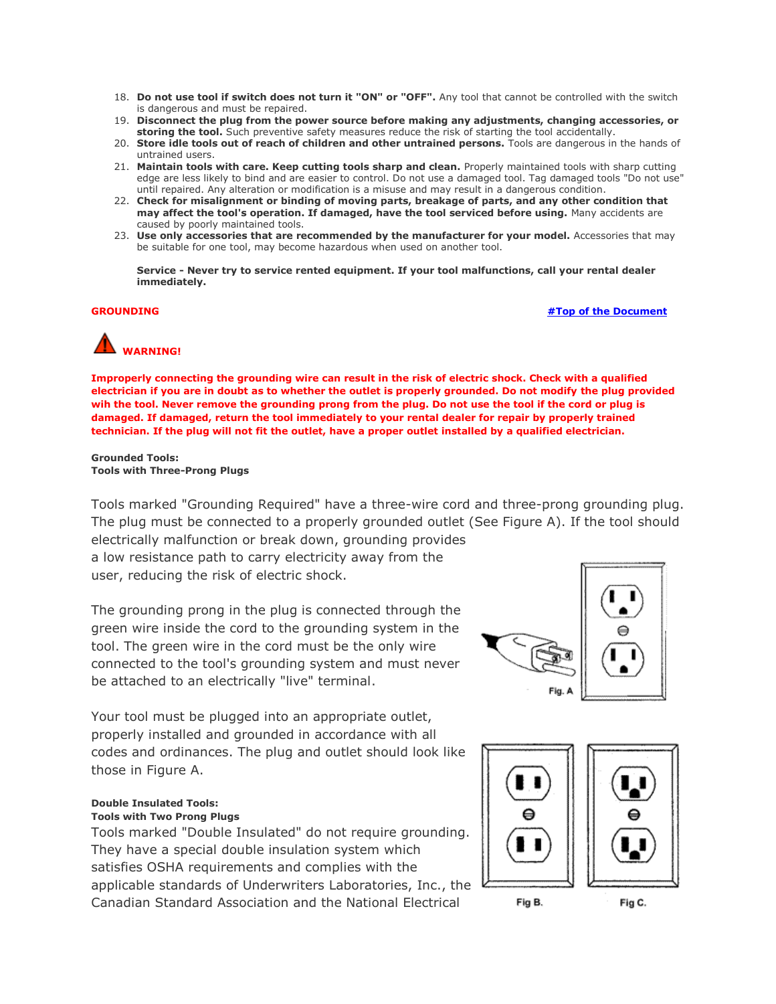- 18. **Do not use tool if switch does not turn it "ON" or "OFF".** Any tool that cannot be controlled with the switch is dangerous and must be repaired.
- 19. **Disconnect the plug from the power source before making any adjustments, changing accessories, or storing the tool.** Such preventive safety measures reduce the risk of starting the tool accidentally.
- 20. **Store idle tools out of reach of children and other untrained persons.** Tools are dangerous in the hands of untrained users.
- 21. **Maintain tools with care. Keep cutting tools sharp and clean.** Properly maintained tools with sharp cutting edge are less likely to bind and are easier to control. Do not use a damaged tool. Tag damaged tools "Do not use" until repaired. Any alteration or modification is a misuse and may result in a dangerous condition.
- 22. **Check for misalignment or binding of moving parts, breakage of parts, and any other condition that may affect the tool's operation. If damaged, have the tool serviced before using.** Many accidents are caused by poorly maintained tools.
- 23. **Use only accessories that are recommended by the manufacturer for your model.** Accessories that may be suitable for one tool, may become hazardous when used on another tool.

**Service - Never try to service rented equipment. If your tool malfunctions, call your rental dealer immediately.**

<span id="page-1-0"></span>**GROUNDING [#Top of the Document](#page-0-0)**

# **WARNING!**

**Improperly connecting the grounding wire can result in the risk of electric shock. Check with a qualified electrician if you are in doubt as to whether the outlet is properly grounded. Do not modify the plug provided wih the tool. Never remove the grounding prong from the plug. Do not use the tool if the cord or plug is damaged. If damaged, return the tool immediately to your rental dealer for repair by properly trained technician. If the plug will not fit the outlet, have a proper outlet installed by a qualified electrician.**

#### **Grounded Tools: Tools with Three-Prong Plugs**

Tools marked "Grounding Required" have a three-wire cord and three-prong grounding plug. The plug must be connected to a properly grounded outlet (See Figure A). If the tool should electrically malfunction or break down, grounding provides

a low resistance path to carry electricity away from the user, reducing the risk of electric shock.

The grounding prong in the plug is connected through the green wire inside the cord to the grounding system in the tool. The green wire in the cord must be the only wire connected to the tool's grounding system and must never be attached to an electrically "live" terminal.



Your tool must be plugged into an appropriate outlet, properly installed and grounded in accordance with all codes and ordinances. The plug and outlet should look like those in Figure A.

## **Double Insulated Tools:**

### **Tools with Two Prong Plugs**

Tools marked "Double Insulated" do not require grounding. They have a special double insulation system which satisfies OSHA requirements and complies with the applicable standards of Underwriters Laboratories, Inc., the Canadian Standard Association and the National Electrical





Fig C.